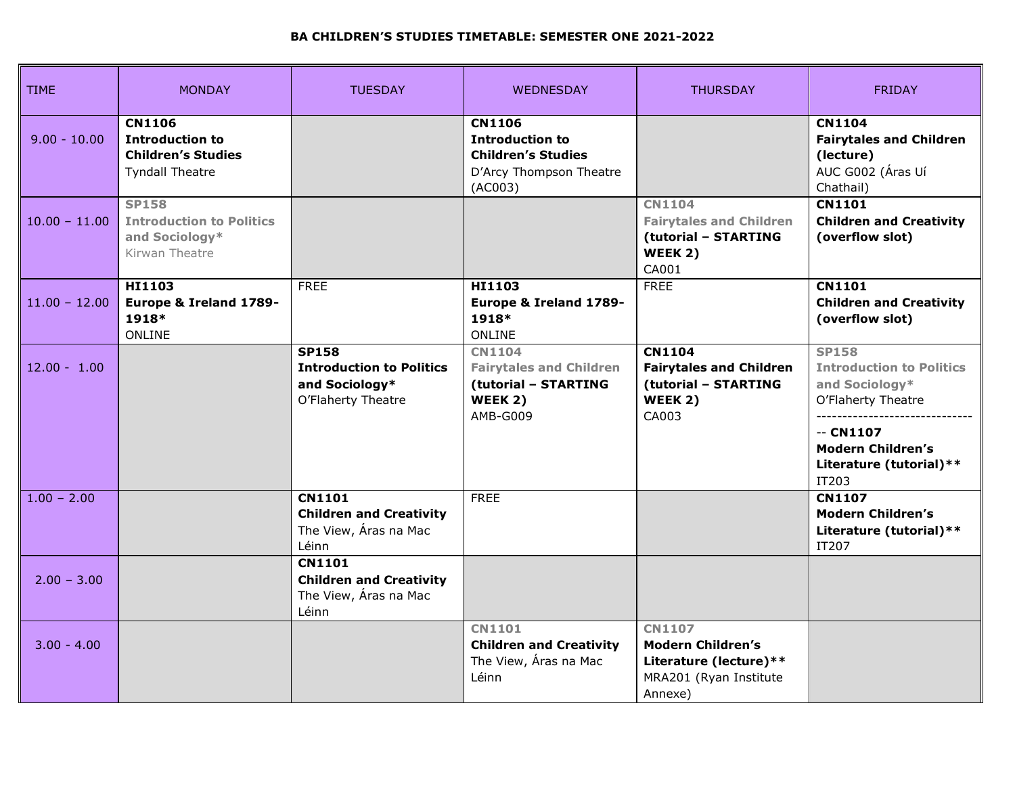## **BA CHILDREN'S STUDIES TIMETABLE: SEMESTER ONE 2021-2022**

| <b>TIME</b>     | <b>MONDAY</b>                                                                                  | <b>TUESDAY</b>                                                                          | <b>WEDNESDAY</b>                                                                                           | <b>THURSDAY</b>                                                                                    | <b>FRIDAY</b>                                                                                                                                                         |
|-----------------|------------------------------------------------------------------------------------------------|-----------------------------------------------------------------------------------------|------------------------------------------------------------------------------------------------------------|----------------------------------------------------------------------------------------------------|-----------------------------------------------------------------------------------------------------------------------------------------------------------------------|
| $9.00 - 10.00$  | <b>CN1106</b><br><b>Introduction to</b><br><b>Children's Studies</b><br><b>Tyndall Theatre</b> |                                                                                         | <b>CN1106</b><br><b>Introduction to</b><br><b>Children's Studies</b><br>D'Arcy Thompson Theatre<br>(AC003) |                                                                                                    | <b>CN1104</b><br><b>Fairytales and Children</b><br>(lecture)<br>AUC G002 (Áras Uí<br>Chathail)                                                                        |
| $10.00 - 11.00$ | <b>SP158</b><br><b>Introduction to Politics</b><br>and Sociology*<br>Kirwan Theatre            |                                                                                         |                                                                                                            | <b>CN1104</b><br><b>Fairytales and Children</b><br>(tutorial - STARTING<br>WEEK 2)<br>CA001        | <b>CN1101</b><br><b>Children and Creativity</b><br>(overflow slot)                                                                                                    |
| $11.00 - 12.00$ | HI1103<br>Europe & Ireland 1789-<br>1918*<br>ONLINE                                            | <b>FREE</b>                                                                             | HI1103<br>Europe & Ireland 1789-<br>1918*<br>ONLINE                                                        | <b>FREE</b>                                                                                        | <b>CN1101</b><br><b>Children and Creativity</b><br>(overflow slot)                                                                                                    |
| $12.00 - 1.00$  |                                                                                                | <b>SP158</b><br><b>Introduction to Politics</b><br>and Sociology*<br>O'Flaherty Theatre | <b>CN1104</b><br><b>Fairytales and Children</b><br>(tutorial - STARTING<br>WEEK 2)<br>AMB-G009             | <b>CN1104</b><br><b>Fairytales and Children</b><br>(tutorial - STARTING<br>WEEK 2)<br>CA003        | <b>SP158</b><br><b>Introduction to Politics</b><br>and Sociology*<br>O'Flaherty Theatre<br>$-$ CN1107<br><b>Modern Children's</b><br>Literature (tutorial)**<br>IT203 |
| $1.00 - 2.00$   |                                                                                                | <b>CN1101</b><br><b>Children and Creativity</b><br>The View, Aras na Mac<br>Léinn       | <b>FREE</b>                                                                                                |                                                                                                    | <b>CN1107</b><br><b>Modern Children's</b><br>Literature (tutorial) **<br>IT207                                                                                        |
| $2.00 - 3.00$   |                                                                                                | <b>CN1101</b><br><b>Children and Creativity</b><br>The View, Áras na Mac<br>Léinn       |                                                                                                            |                                                                                                    |                                                                                                                                                                       |
| $3.00 - 4.00$   |                                                                                                |                                                                                         | <b>CN1101</b><br><b>Children and Creativity</b><br>The View, Áras na Mac<br>Léinn                          | <b>CN1107</b><br>Modern Children's<br>Literature (lecture) **<br>MRA201 (Ryan Institute<br>Annexe) |                                                                                                                                                                       |